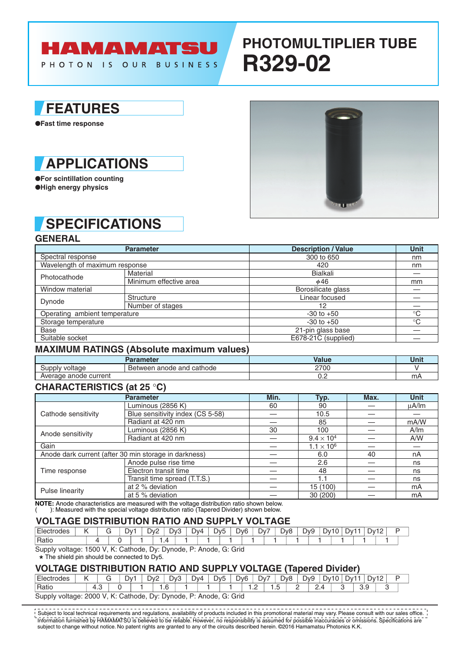# **HAMAMATSU**

PHOTON IS OUR BUSINESS

## **PHOTOMULTIPLIER TUBE R329-02**

### **FEATURES**

●**Fast time response**



●**For scintillation counting** ●**High energy physics**

### **SPECIFICATIONS**

#### **GENERAL**

|                                                                | <b>Parameter</b>       | <b>Description / Value</b> | Unit         |
|----------------------------------------------------------------|------------------------|----------------------------|--------------|
| Spectral response                                              |                        | 300 to 650                 | nm           |
| Wavelength of maximum response                                 |                        | 420                        | nm           |
| Photocathode                                                   | Material               | <b>Bialkali</b>            |              |
|                                                                | Minimum effective area | $\phi$ 46                  | mm           |
| Window material                                                |                        | Borosilicate glass         |              |
| Dynode<br>Operating ambient temperature<br>Storage temperature | Structure              | Linear focused             |              |
|                                                                | Number of stages       | 12                         |              |
|                                                                |                        | $-30$ to $+50$             | $^{\circ}$ C |
|                                                                |                        | $-30$ to $+50$             | $^{\circ}$ C |
| <b>Base</b>                                                    |                        | 21-pin glass base          |              |
| Suitable socket                                                |                        | E678-21C (supplied)        |              |

#### **MAXIMUM RATINGS (Absolute maximum values)**

|                            | arameter                            | Value | Unit |
|----------------------------|-------------------------------------|-------|------|
| ∖⊔nnl\<br>voltage          | and<br>⊺cathode<br>anode<br>Between | 2700  |      |
| anode current ?<br>Average |                                     | ◡.←   | m,   |

### **CHARACTERISTICS (at 25** °**C)**

|                     | <b>Parameter</b>                                      | Min. | Typ.                | Max. | <b>Unit</b> |
|---------------------|-------------------------------------------------------|------|---------------------|------|-------------|
|                     | Luminous (2856 K)                                     | 60   | 90                  |      | $\mu$ A/Im  |
| Cathode sensitivity | Blue sensitivity index (CS 5-58)                      |      | 10.5                |      |             |
|                     | Radiant at 420 nm                                     |      | 85                  |      | mA/W        |
| Anode sensitivity   | Luminous (2856 K)                                     | 30   | 100                 |      | A/m         |
|                     | Radiant at 420 nm                                     |      | $9.4 \times 10^{4}$ |      | A/W         |
| Gain                |                                                       |      | $1.1 \times 10^{6}$ |      |             |
|                     | Anode dark current (after 30 min storage in darkness) |      | 6.0                 | 40   | nA          |
|                     | Anode pulse rise time                                 |      | 2.6                 |      | ns          |
| Time response       | Electron transit time                                 |      | 48                  |      | ns          |
|                     | Transit time spread (T.T.S.)                          |      | 1.1                 |      | ns          |
|                     | at 2 % deviation                                      |      | 15 (100)            |      | mA          |
| Pulse linearity     | at 5 % deviation                                      |      | 30 (200)            |      | mA          |

**NOTE:** Anode characteristics are measured with the voltage distribution ratio shown below. ( ): Measured with the special voltage distribution ratio (Tapered Divider) shown below.

### **VOLTAGE DISTRIBUTION RATIO AND SUPPLY VOLTAGE**

| $-1$<br>⊺Electrodes |  | $\mathcal{N}$<br>◡ | ⊇∨′ | -<br>⊃∨: | .)v4 | - | JV5 | Dv6 | -<br>Dv | Dv8 | פֿער<br>-- | Dv. | $\overline{\phantom{a}}$<br>. JV. | $\sim$<br>$\cdot$ ) $V^*$ |  |
|---------------------|--|--------------------|-----|----------|------|---|-----|-----|---------|-----|------------|-----|-----------------------------------|---------------------------|--|
| 'Ratic              |  |                    |     |          |      |   |     |     |         |     |            |     |                                   |                           |  |

Supply voltage: 1500 V, K: Cathode, Dy: Dynode, P: Anode, G: Grid

\* The shield pin should be connected to Dy5.

#### **VOLTAGE DISTRIBUTION RATIO AND SUPPLY VOLTAGE (Tapered Divider)**

| Electrodes |                                                                                    | ັ   |  | D۷. | י∠∨⊂ | D <sub>v</sub> 3  |  | Dv4 | Dv5 | Dv <sub>6</sub> |                                    | Dv7 | Dv8          | ້ | <b>DvS</b> | 1 C<br>Dv1 | Dv1 |            | ∴Dv <sup>1</sup> ∩ |  |  |
|------------|------------------------------------------------------------------------------------|-----|--|-----|------|-------------------|--|-----|-----|-----------------|------------------------------------|-----|--------------|---|------------|------------|-----|------------|--------------------|--|--|
| 'Ratic     |                                                                                    | د.4 |  |     |      | $\epsilon$<br>. ت |  |     |     |                 | $\sim$<br>$\overline{\phantom{a}}$ |     | $\sim$<br>ں. | - | <u>.</u>   |            |     | 3 O<br>ບ.ວ |                    |  |  |
| Supply     | Grid<br>2000<br>Cathode.<br>G:<br>Dynode,<br>⊃v∵<br>Anode.<br>ĸ٠<br>D.<br>voltage: |     |  |     |      |                   |  |     |     |                 |                                    |     |              |   |            |            |     |            |                    |  |  |

Information furnished by HAMAMATSU is believed to be reliable. However, no responsibility is assumed for possible inaccuracies or omissions. Specifications are subject to change without notice. No patent rights are granted to any of the circuits described herein. ©2016 Hamamatsu Photonics K.K. Subject to local technical requirements and regulations, availability of products included in this promotional material may vary. Please consult with our sales office.